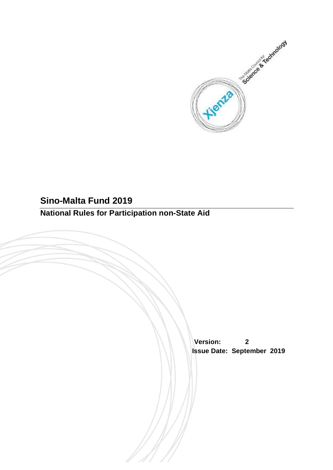

# **Sino-Malta Fund 2019**

# **National Rules for Participation non-State Aid**

 **Version: 2 Issue Date: September 2019**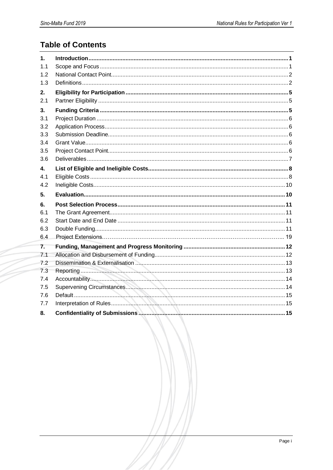# **Table of Contents**

| 1.  |  |
|-----|--|
| 1.1 |  |
| 1.2 |  |
| 1.3 |  |
| 2.  |  |
| 2.1 |  |
| 3.  |  |
| 3.1 |  |
| 3.2 |  |
| 3.3 |  |
| 3.4 |  |
| 3.5 |  |
| 3.6 |  |
| 4.  |  |
| 4.1 |  |
| 4.2 |  |
|     |  |
| 5.  |  |
| 6.  |  |
| 6.1 |  |
| 6.2 |  |
| 6.3 |  |
| 6.4 |  |
| 7.  |  |
| 7.1 |  |
| 72  |  |
| 7.3 |  |
| 7.4 |  |
| 7.5 |  |
| 7.6 |  |
| 7.7 |  |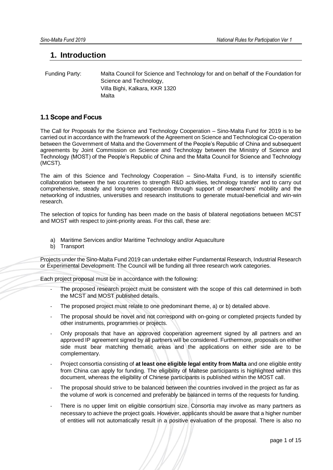# <span id="page-2-0"></span>**1. Introduction**

 Funding Party: Malta Council for Science and Technology for and on behalf of the Foundation for Science and Technology, Villa Bighi, Kalkara, KKR 1320 Malta

# <span id="page-2-1"></span>**1.1 Scope and Focus**

The Call for Proposals for the Science and Technology Cooperation – Sino-Malta Fund for 2019 is to be carried out in accordance with the framework of the Agreement on Science and Technological Co-operation between the Government of Malta and the Government of the People's Republic of China and subsequent agreements by Joint Commission on Science and Technology between the Ministry of Science and Technology (MOST) of the People's Republic of China and the Malta Council for Science and Technology (MCST).

The aim of this Science and Technology Cooperation – Sino-Malta Fund, is to intensify scientific collaboration between the two countries to strength R&D activities, technology transfer and to carry out comprehensive, steady and long-term cooperation through support of researchers' mobility and the networking of industries, universities and research institutions to generate mutual-beneficial and win-win research.

The selection of topics for funding has been made on the basis of bilateral negotiations between MCST and MOST with respect to joint-priority areas. For this call, these are:

- a) Maritime Services and/or Maritime Technology and/or Aquaculture
- b) Transport

Projects under the Sino-Malta Fund 2019 can undertake either Fundamental Research, Industrial Research or Experimental Development. The Council will be funding all three research work categories.

Each project proposal must be in accordance with the following:

- The proposed research project must be consistent with the scope of this call determined in both the MCST and MOST published details.
- The proposed project must relate to one predominant theme, a) or b) detailed above.
- The proposal should be novel and not correspond with on-going or completed projects funded by other instruments, programmes or projects.
- Only proposals that have an approved cooperation agreement signed by all partners and an approved IP agreement signed by all partners will be considered. Furthermore, proposals on either side must bear matching thematic areas and the applications on either side are to be complementary.
- Project consortia consisting of **at least one eligible legal entity from Malta** and one eligible entity from China can apply for funding. The eligibility of Maltese participants is highlighted within this document, whereas the eligibility of Chinese participants is published within the MOST call.
- The proposal should strive to be balanced between the countries involved in the project as far as the volume of work is concerned and preferably be balanced in terms of the requests for funding.
- There is no upper limit on eligible consortium size. Consortia may involve as many partners as necessary to achieve the project goals. However, applicants should be aware that a higher number of entities will not automatically result in a positive evaluation of the proposal. There is also no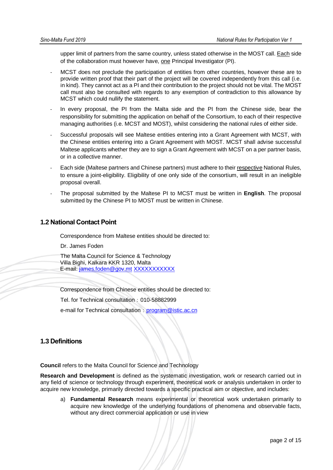upper limit of partners from the same country, unless stated otherwise in the MOST call. Each side of the collaboration must however have, one Principal Investigator (PI).

- MCST does not preclude the participation of entities from other countries, however these are to provide written proof that their part of the project will be covered independently from this call (i.e. in kind). They cannot act as a PI and their contribution to the project should not be vital. The MOST call must also be consulted with regards to any exemption of contradiction to this allowance by MCST which could nullify the statement.
- In every proposal, the PI from the Malta side and the PI from the Chinese side, bear the responsibility for submitting the application on behalf of the Consortium, to each of their respective managing authorities (i.e. MCST and MOST), whilst considering the national rules of either side.
- Successful proposals will see Maltese entities entering into a Grant Agreement with MCST, with the Chinese entities entering into a Grant Agreement with MOST. MCST shall advise successful Maltese applicants whether they are to sign a Grant Agreement with MCST on a per partner basis, or in a collective manner.
- Each side (Maltese partners and Chinese partners) must adhere to their respective National Rules, to ensure a joint-eligibility. Eligibility of one only side of the consortium, will result in an ineligible proposal overall.
- The proposal submitted by the Maltese PI to MCST must be written in **English**. The proposal submitted by the Chinese PI to MOST must be written in Chinese.

# <span id="page-3-0"></span>**1.2 National Contact Point**

Correspondence from Maltese entities should be directed to:

Dr. James Foden

The Malta Council for Science & Technology Villa Bighi, Kalkara KKR 1320, Malta E-mail: [james.foden@gov.mt](mailto:james.foden@gov.mt) [XXXXXXXXXXX](mailto:corinne.muscat-terribile@gov.mt)

Correspondence from Chinese entities should be directed to:

Tel. for Technical consultation:010-58882999

e-mail for Technical consultation: [program@istic.ac.cn](mailto:program@istic.ac.cn)

# <span id="page-3-1"></span>**1.3 Definitions**

**Council** refers to the Malta Council for Science and Technology

**Research and Development** is defined as the systematic investigation, work or research carried out in any field of science or technology through experiment, theoretical work or analysis undertaken in order to acquire new knowledge, primarily directed towards a specific practical aim or objective, and includes:

a) **Fundamental Research** means experimental or theoretical work undertaken primarily to acquire new knowledge of the underlying foundations of phenomena and observable facts, without any direct commercial application or use in view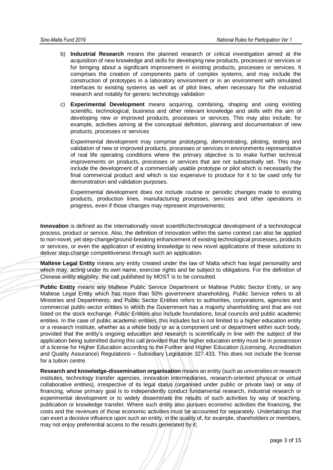- b) **Industrial Research** means the planned research or critical investigation aimed at the acquisition of new knowledge and skills for developing new products, processes or services or for bringing about a significant improvement in existing products, processes or services. It comprises the creation of components parts of complex systems, and may include the construction of prototypes in a laboratory environment or in an environment with simulated interfaces to existing systems as well as of pilot lines, when necessary for the industrial research and notably for generic technology validation
- c) **Experimental Development** means acquiring, combining, shaping and using existing scientific, technological, business and other relevant knowledge and skills with the aim of developing new or improved products, processes or services. This may also include, for example, activities aiming at the conceptual definition, planning and documentation of new products, processes or services

Experimental development may comprise prototyping, demonstrating, piloting, testing and validation of new or improved products, processes or services in environments representative of real life operating conditions where the primary objective is to make further technical improvements on products, processes or services that are not substantially set. This may include the development of a commercially usable prototype or pilot which is necessarily the final commercial product and which is too expensive to produce for it to be used only for demonstration and validation purposes.

Experimental development does not include routine or periodic changes made to existing products, production lines, manufacturing processes, services and other operations in progress, even if those changes may represent improvements;

**Innovation** is defined as the internationally novel scientific/technological development of a technological process, product or service. Also, the definition of innovation within the same context can also be applied to non-novel, yet step-change/ground-breaking enhancement of existing technological processes, products or services, or even the application of existing knowledge to new novel applications of these solutions to deliver step-change competitiveness through such an application.

**Maltese Legal Entity** means any entity created under the law of Malta which has legal personality and which may, acting under its own name, exercise rights and be subject to obligations. For the definition of Chinese entity eligibility, the call published by MOST is to be consulted.

**Public Entity** means any Maltese Public Service Department or Maltese Public Sector Entity, or any Maltese Legal Entity which has more than 50% government shareholding. Public Service refers to all Ministries and Departments; and Public Sector Entities refers to authorities, corporations, agencies and commercial public-sector entities in which the Government has a majority shareholding and that are not listed on the stock exchange. Public Entities also include foundations, local councils and public academic entities. In the case of public academic entities, this includes but is not limited to a higher education entity or a research institute, whether as a whole body or as a component unit or department within such body, provided that the entity's ongoing education and research is scientifically in line with the subject of the application being submitted during this call provided that the higher education entity must be in possession of a license for Higher Education according to the Further and Higher Education (Licensing, Accreditation and Quality Assurance) Regulations – Subsidiary Legislation 327.433. This does not include the license for a tuition centre.

**Research and knowledge-dissemination organisation** means an entity (such as universities or research institutes, technology transfer agencies, innovation intermediaries, research-oriented physical or virtual collaborative entities), irrespective of its legal status (organised under public or private law) or way of financing, whose primary goal is to independently conduct fundamental research, industrial research or experimental development or to widely disseminate the results of such activities by way of teaching, publication or knowledge transfer. Where such entity also pursues economic activities the financing, the costs and the revenues of those economic activities must be accounted for separately. Undertakings that can exert a decisive influence upon such an entity, in the quality of, for example, shareholders or members, may not enjoy preferential access to the results generated by it;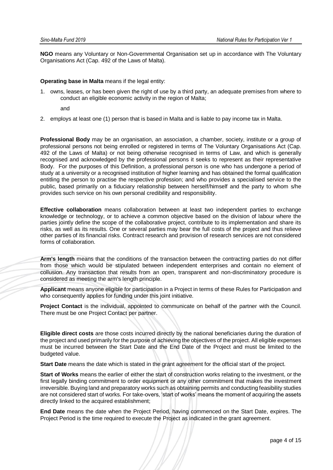**NGO** means any Voluntary or Non-Governmental Organisation set up in accordance with The Voluntary Organisations Act (Cap. 492 of the Laws of Malta).

#### **Operating base in Malta** means if the legal entity:

1. owns, leases, or has been given the right of use by a third party, an adequate premises from where to conduct an eligible economic activity in the region of Malta;

and

2. employs at least one (1) person that is based in Malta and is liable to pay income tax in Malta.

**Professional Body** may be an organisation, an association, a chamber, society, institute or a group of professional persons not being enrolled or registered in terms of The Voluntary Organisations Act (Cap. 492 of the Laws of Malta) or not being otherwise recognised in terms of Law, and which is generally recognised and acknowledged by the professional persons it seeks to represent as their representative Body. For the purposes of this Definition, a professional person is one who has undergone a period of study at a university or a recognised institution of higher learning and has obtained the formal qualification entitling the person to practise the respective profession; and who provides a specialised service to the public, based primarily on a fiduciary relationship between herself/himself and the party to whom s/he provides such service on his own personal credibility and responsibility.

**Effective collaboration** means collaboration between at least two independent parties to exchange knowledge or technology, or to achieve a common objective based on the division of labour where the parties jointly define the scope of the collaborative project, contribute to its implementation and share its risks, as well as its results. One or several parties may bear the full costs of the project and thus relieve other parties of its financial risks. Contract research and provision of research services are not considered forms of collaboration.

**Arm's length** means that the conditions of the transaction between the contracting parties do not differ from those which would be stipulated between independent enterprises and contain no element of collusion. Any transaction that results from an open, transparent and non-discriminatory procedure is considered as meeting the arm's length principle.

**Applicant** means anyone eligible for participation in a Project in terms of these Rules for Participation and who consequently applies for funding under this joint initiative.

Project Contact is the individual, appointed to communicate on behalf of the partner with the Council. There must be one Project Contact per partner.

**Eligible direct costs** are those costs incurred directly by the national beneficiaries during the duration of the project and used primarily for the purpose of achieving the objectives of the project. All eligible expenses must be incurred between the Start Date and the End Date of the Project and must be limited to the budgeted value.

**Start Date** means the date which is stated in the grant agreement for the official start of the project.

**Start of Works** means the earlier of either the start of construction works relating to the investment, or the first legally binding commitment to order equipment or any other commitment that makes the investment irreversible. Buying land and preparatory works such as obtaining permits and conducting feasibility studies are not considered start of works. For take-overs, 'start of works' means the moment of acquiring the assets directly linked to the acquired establishment;

**End Date** means the date when the Project Period, having commenced on the Start Date, expires. The Project Period is the time required to execute the Project as indicated in the grant agreement.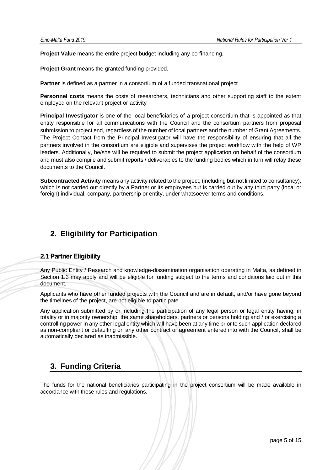**Project Value** means the entire project budget including any co-financing.

**Project Grant** means the granted funding provided.

**Partner** is defined as a partner in a consortium of a funded transnational project

**Personnel costs** means the costs of researchers, technicians and other supporting staff to the extent employed on the relevant project or activity

**Principal Investigator** is one of the local beneficiaries of a project consortium that is appointed as that entity responsible for all communications with the Council and the consortium partners from proposal submission to project end, regardless of the number of local partners and the number of Grant Agreements. The Project Contact from the Principal Investigator will have the responsibility of ensuring that all the partners involved in the consortium are eligible and supervises the project workflow with the help of WP leaders. Additionally, he/she will be required to submit the project application on behalf of the consortium and must also compile and submit reports / deliverables to the funding bodies which in turn will relay these documents to the Council.

**Subcontracted Activity** means any activity related to the project, (including but not limited to consultancy), which is not carried out directly by a Partner or its employees but is carried out by any third party (local or foreign) individual, company, partnership or entity, under whatsoever terms and conditions.

# <span id="page-6-0"></span>**2. Eligibility for Participation**

## <span id="page-6-1"></span>**2.1 Partner Eligibility**

Any Public Entity / Research and knowledge-dissemination organisation operating in Malta, as defined in Section 1.3 may apply and will be eligible for funding subject to the terms and conditions laid out in this document*.*

Applicants who have other funded projects with the Council and are in default, and/or have gone beyond the timelines of the project, are not eligible to participate.

Any application submitted by or including the participation of any legal person or legal entity having, in totality or in majority ownership, the same shareholders, partners or persons holding and / or exercising a controlling power in any other legal entity which will have been at any time prior to such application declared as non-compliant or defaulting on any other contract or agreement entered into with the Council, shall be automatically declared as inadmissible.

# <span id="page-6-2"></span>**3. Funding Criteria**

The funds for the national beneficiaries participating in the project consortium will be made available in accordance with these rules and regulations.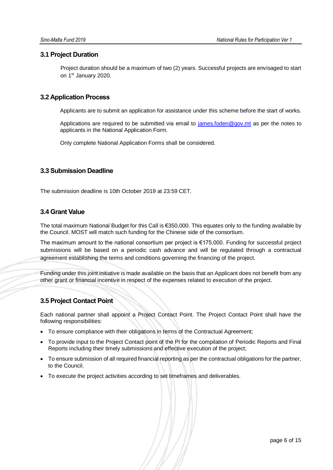### <span id="page-7-0"></span>**3.1 Project Duration**

Project duration should be a maximum of two (2) years. Successful projects are envisaged to start on 1st January 2020.

# <span id="page-7-1"></span>**3.2 Application Process**

Applicants are to submit an application for assistance under this scheme before the start of works.

Applications are required to be submitted via email to [james.foden@gov.mt](mailto:james.foden@gov.mt) as per the notes to applicants in the National Application Form.

<span id="page-7-3"></span>Only complete National Application Forms shall be considered.

### <span id="page-7-2"></span>**3.3 Submission Deadline**

The submission deadline is 10th October 2019 at 23:59 CET.

## **3.4 Grant Value**

The total maximum National Budget for this Call is €350,000. This equates only to the funding available by the Council. MOST will match such funding for the Chinese side of the consortium.

The maximum amount to the national consortium per project is €175,000. Funding for successful project submissions will be based on a periodic cash advance and will be regulated through a contractual agreement establishing the terms and conditions governing the financing of the project.

Funding under this joint initiative is made available on the basis that an Applicant does not benefit from any other grant or financial incentive in respect of the expenses related to execution of the project.

# <span id="page-7-4"></span>**3.5 Project Contact Point**

Each national partner shall appoint a Project Contact Point. The Project Contact Point shall have the following responsibilities:

- To ensure compliance with their obligations in terms of the Contractual Agreement;
- To provide input to the Project Contact point of the PI for the compilation of Periodic Reports and Final Reports including their timely submissions and effective execution of the project;
- To ensure submission of all required financial reporting as per the contractual obligations for the partner, to the Council.
- To execute the project activities according to set timeframes and deliverables.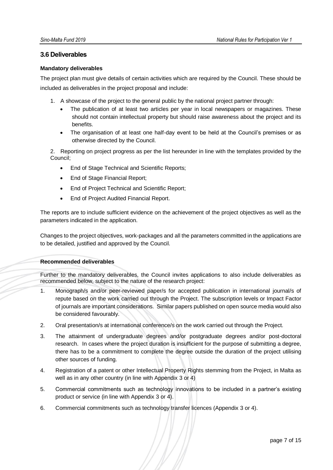### <span id="page-8-0"></span>**3.6 Deliverables**

#### **Mandatory deliverables**

The project plan must give details of certain activities which are required by the Council. These should be included as deliverables in the project proposal and include:

- 1. A showcase of the project to the general public by the national project partner through:
	- The publication of at least two articles per year in local newspapers or magazines. These should not contain intellectual property but should raise awareness about the project and its benefits.
	- The organisation of at least one half-day event to be held at the Council's premises or as otherwise directed by the Council.

2. Reporting on project progress as per the list hereunder in line with the templates provided by the Council;

- End of Stage Technical and Scientific Reports;
- End of Stage Financial Report;
- End of Project Technical and Scientific Report;
- End of Project Audited Financial Report.

The reports are to include sufficient evidence on the achievement of the project objectives as well as the parameters indicated in the application.

Changes to the project objectives, work-packages and all the parameters committed in the applications are to be detailed, justified and approved by the Council.

#### **Recommended deliverables**

Further to the mandatory deliverables, the Council invites applications to also include deliverables as recommended below, subject to the nature of the research project:

- 1. Monograph/s and/or peer-reviewed paper/s for accepted publication in international journal/s of repute based on the work carried out through the Project. The subscription levels or Impact Factor of journals are important considerations. Similar papers published on open source media would also be considered favourably.
- 2. Oral presentation/s at international conference/s on the work carried out through the Project.
- 3. The attainment of undergraduate degrees and/or postgraduate degrees and/or post-doctoral research. In cases where the project duration is insufficient for the purpose of submitting a degree, there has to be a commitment to complete the degree outside the duration of the project utilising other sources of funding.
- 4. Registration of a patent or other Intellectual Property Rights stemming from the Project, in Malta as well as in any other country (in line with Appendix 3 or 4)
- 5. Commercial commitments such as technology innovations to be included in a partner's existing product or service (in line with Appendix 3 or 4).
- 6. Commercial commitments such as technology transfer licences (Appendix 3 or 4).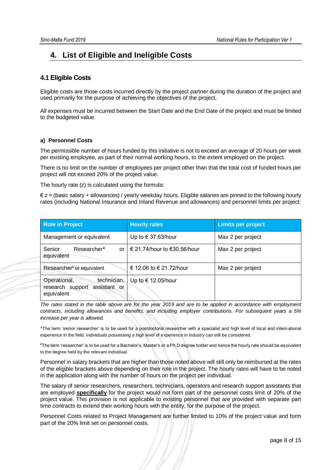# <span id="page-9-0"></span>**4. List of Eligible and Ineligible Costs**

## <span id="page-9-1"></span>**4.1 Eligible Costs**

Eligible costs are those costs incurred directly by the project partner during the duration of the project and used primarily for the purpose of achieving the objectives of the project.

All expenses must be incurred between the Start Date and the End Date of the project and must be limited to the budgeted value.

#### **a) Personnel Costs**

The permissible number of hours funded by this initiative is not to exceed an average of 20 hours per week per existing employee, as part of their normal working hours, to the extent employed on the project.

There is no limit on the number of employees per project other than that the total cost of funded hours per project will not exceed 20% of the project value.

The hourly rate (z) is calculated using the formula:

 $\epsilon$  z = (basic salary + allowances) / yearly weekday hours. Eligible salaries are pinned to the following hourly rates (including National Insurance and Inland Revenue and allowances) and personnel limits per project:

| <b>Role in Project</b>                                                        | <b>Hourly rates</b>              | <b>Limits per project</b> |
|-------------------------------------------------------------------------------|----------------------------------|---------------------------|
| Management or equivalent                                                      | Up to $\in$ 37.63/hour           | Max 2 per project         |
| Researcher*<br>Senior<br>equivalent                                           | or   € 21.74/hour to €30.56/hour | Max 2 per project         |
| Researcher <sup>¥</sup> or equivalent                                         | € 12.06 to € 21.72/hour          | Max 2 per project         |
| technician,<br>Operational,<br>research support<br>assistant or<br>equivalent | Up to $\in$ 12.05/hour           |                           |

*The rates stated in the table above are for the year 2019 and are to be applied in accordance with employment contracts, including allowances and benefits, and including employer contributions. For subsequent years a 5% increase per year is allowed.* 

\*The term 'senior researcher' is to be used for a postdoctoral researcher with a specialist and high level of local and international experience in the field. Individuals possessing a high level of experience in industry can still be considered.

¥The term 'researcher' is to be used for a Bachelor's, Master's or a Ph.D degree holder and hence the hourly rate should be equivalent to the degree held by the relevant individual.

Personnel in salary brackets that are higher than those noted above will still only be reimbursed at the rates of the eligible brackets above depending on their role in the project. The hourly rates will have to be noted in the application along with the number of hours on the project per individual.

The salary of senior researchers, researchers, technicians, operators and research support assistants that are employed **specifically** for the project would not form part of the personnel costs limit of 20% of the project value. This provision is not applicable to existing personnel that are provided with separate part time contracts to extend their working hours with the entity, for the purpose of the project.

Personnel Costs related to Project Management are further limited to 10% of the project value and form part of the 20% limit set on personnel costs.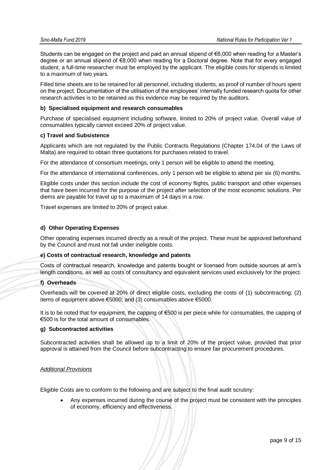Students can be engaged on the project and paid an annual stipend of €6,000 when reading for a Master's degree or an annual stipend of €8,000 when reading for a Doctoral degree. Note that for every engaged student, a full-time researcher must be employed by the applicant. The eligible costs for stipends is limited to a maximum of two years.

Filled time sheets are to be retained for all personnel, including students, as proof of number of hours spent on the project. Documentation of the utilisation of the employees' internally funded research quota for other research activities is to be retained as this evidence may be required by the auditors.

#### **b) Specialised equipment and research consumables**

Purchase of specialised equipment including software, limited to 20% of project value. Overall value of consumables typically cannot exceed 20% of project value.

#### **c) Travel and Subsistence**

Applicants which are not regulated by the Public Contracts Regulations (Chapter 174.04 of the Laws of Malta) are required to obtain three quotations for purchases related to travel.

For the attendance of consortium meetings, only 1 person will be eligible to attend the meeting.

For the attendance of international conferences, only 1 person will be eligible to attend per six (6) months.

Eligible costs under this section include the cost of economy flights, public transport and other expenses that have been incurred for the purpose of the project after selection of the most economic solutions. Per diems are payable for travel up to a maximum of 14 days in a row.

Travel expenses are limited to 20% of project value.

#### **d) Other Operating Expenses**

Other operating expenses incurred directly as a result of the project. These must be approved beforehand by the Council and must not fall under ineligible costs.

#### **e) Costs of contractual research, knowledge and patents**

Costs of contractual research, knowledge and patents bought or licensed from outside sources at arm's length conditions, as well as costs of consultancy and equivalent services used exclusively for the project.

#### **f) Overheads**

Overheads will be covered at 20% of direct eligible costs, excluding the costs of (1) subcontracting; (2) items of equipment above €5000; and (3) consumables above €5000.

It is to be noted that for equipment, the capping of €500 is per piece while for consumables, the capping of €500 is for the total amount of consumables.

#### **g) Subcontracted activities**

Subcontracted activities shall be allowed up to a limit of 20% of the project value, provided that prior approval is attained from the Council before subcontracting to ensure fair procurement procedures.

#### *Additional Provisions*

Eligible Costs are to conform to the following and are subject to the final audit scrutiny:

• Any expenses incurred during the course of the project must be consistent with the principles of economy, efficiency and effectiveness.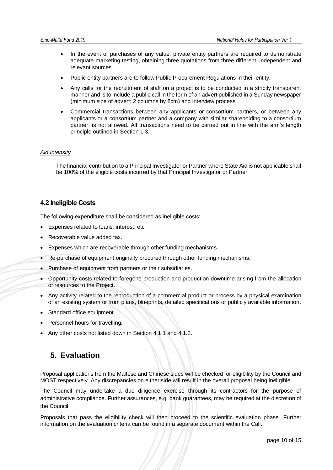- In the event of purchases of any value, private entity partners are required to demonstrate adequate marketing testing, obtaining three quotations from three different, independent and relevant sources.
- Public entity partners are to follow Public Procurement Regulations in their entity.
- Any calls for the recruitment of staff on a project is to be conducted in a strictly transparent manner and is to include a public call in the form of an advert published in a Sunday newspaper (minimum size of advert: 2 columns by 8cm) and interview process.
- Commercial transactions between any applicants or consortium partners, or between any applicants or a consortium partner and a company with similar shareholding to a consortium partner, is not allowed. All transactions need to be carried out in line with the arm's length principle outlined in Section 1.3.

#### *Aid Intensity*

The financial contribution to a Principal Investigator or Partner where State Aid is not applicable shall be 100% of the eligible costs incurred by that Principal Investigator or Partner.

## <span id="page-11-0"></span>**4.2 Ineligible Costs**

The following expenditure shall be considered as ineligible costs:

- Expenses related to loans, interest, etc
- Recoverable value added tax.
- Expenses which are recoverable through other funding mechanisms.
- Re-purchase of equipment originally procured through other funding mechanisms.
- Purchase of equipment from partners or their subsidiaries.
- Opportunity costs related to foregone production and production downtime arising from the allocation of resources to the Project.
- Any activity related to the reproduction of a commercial product or process by a physical examination of an existing system or from plans, blueprints, detailed specifications or publicly available information.
- Standard office equipment.
- Personnel hours for travelling.
- Any other costs not listed down in Section 4.1.1 and 4.1.2.

# <span id="page-11-1"></span>**5. Evaluation**

Proposal applications from the Maltese and Chinese sides will be checked for eligibility by the Council and MOST respectively. Any discrepancies on either side will result in the overall proposal being ineligible.

The Council may undertake a due diligence exercise through its contractors for the purpose of administrative compliance. Further assurances, e.g. bank guarantees, may be required at the discretion of the Council.

Proposals that pass the eligibility check will then proceed to the scientific evaluation phase. Further information on the evaluation criteria can be found in a separate document within the Call.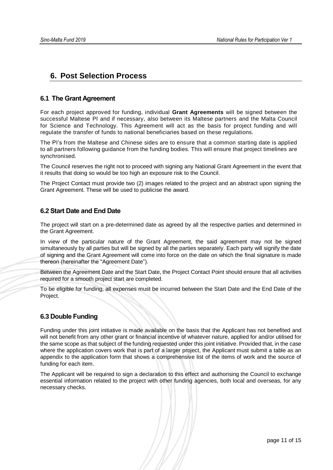# <span id="page-12-0"></span>**6. Post Selection Process**

# <span id="page-12-1"></span>**6.1 The Grant Agreement**

For each project approved for funding, individual **Grant Agreements** will be signed between the successful Maltese PI and if necessary, also between its Maltese partners and the Malta Council for Science and Technology. This Agreement will act as the basis for project funding and will regulate the transfer of funds to national beneficiaries based on these regulations.

The PI's from the Maltese and Chinese sides are to ensure that a common starting date is applied to all partners following guidance from the funding bodies. This will ensure that project timelines are synchronised.

The Council reserves the right not to proceed with signing any National Grant Agreement in the event that it results that doing so would be too high an exposure risk to the Council.

The Project Contact must provide two (2) images related to the project and an abstract upon signing the Grant Agreement. These will be used to publicise the award.

# <span id="page-12-2"></span>**6.2 Start Date and End Date**

The project will start on a pre-determined date as agreed by all the respective parties and determined in the Grant Agreement.

In view of the particular nature of the Grant Agreement, the said agreement may not be signed simultaneously by all parties but will be signed by all the parties separately. Each party will signify the date of signing and the Grant Agreement will come into force on the date on which the final signature is made thereon (hereinafter the "Agreement Date").

Between the Agreement Date and the Start Date, the Project Contact Point should ensure that all activities required for a smooth project start are completed.

To be eligible for funding, all expenses must be incurred between the Start Date and the End Date of the Project.

# <span id="page-12-3"></span>**6.3 Double Funding**

Funding under this joint initiative is made available on the basis that the Applicant has not benefited and will not benefit from any other grant or financial incentive of whatever nature, applied for and/or utilised for the same scope as that subject of the funding requested under this joint initiative. Provided that, in the case where the application covers work that is part of a larger project, the Applicant must submit a table as an appendix to the application form that shows a comprehensive list of the items of work and the source of funding for each item.

The Applicant will be required to sign a declaration to this effect and authorising the Council to exchange essential information related to the project with other funding agencies, both local and overseas, for any necessary checks.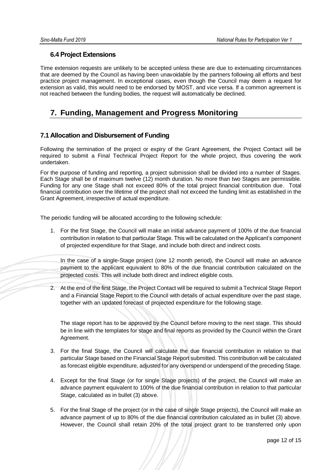# **6.4 Project Extensions**

Time extension requests are unlikely to be accepted unless these are due to extenuating circumstances that are deemed by the Council as having been unavoidable by the partners following all efforts and best practice project management. In exceptional cases, even though the Council may deem a request for extension as valid, this would need to be endorsed by MOST, and vice versa. If a common agreement is not reached between the funding bodies, the request will automatically be declined.

# <span id="page-13-0"></span>**7. Funding, Management and Progress Monitoring**

# <span id="page-13-1"></span>**7.1 Allocation and Disbursement of Funding**

Following the termination of the project or expiry of the Grant Agreement, the Project Contact will be required to submit a Final Technical Project Report for the whole project, thus covering the work undertaken.

For the purpose of funding and reporting, a project submission shall be divided into a number of Stages. Each Stage shall be of maximum twelve (12) month duration. No more than two Stages are permissible. Funding for any one Stage shall not exceed 80% of the total project financial contribution due. Total financial contribution over the lifetime of the project shall not exceed the funding limit as established in the Grant Agreement, irrespective of actual expenditure.

The periodic funding will be allocated according to the following schedule:

1. For the first Stage, the Council will make an initial advance payment of 100% of the due financial contribution in relation to that particular Stage. This will be calculated on the Applicant's component of projected expenditure for that Stage, and include both direct and indirect costs.

In the case of a single-Stage project (one 12 month period), the Council will make an advance payment to the applicant equivalent to 80% of the due financial contribution calculated on the projected costs. This will include both direct and indirect eligible costs.

2. At the end of the first Stage, the Project Contact will be required to submit a Technical Stage Report and a Financial Stage Report to the Council with details of actual expenditure over the past stage, together with an updated forecast of projected expenditure for the following stage.

The stage report has to be approved by the Council before moving to the next stage. This should be in line with the templates for stage and final reports as provided by the Council within the Grant Agreement.

- 3. For the final Stage, the Council will calculate the due financial contribution in relation to that particular Stage based on the Financial Stage Report submitted. This contribution will be calculated as forecast eligible expenditure, adjusted for any overspend or underspend of the preceding Stage.
- 4. Except for the final Stage (or for single Stage projects) of the project, the Council will make an advance payment equivalent to 100% of the due financial contribution in relation to that particular Stage, calculated as in bullet (3) above.
- 5. For the final Stage of the project (or in the case of single Stage projects), the Council will make an advance payment of up to 80% of the due financial contribution calculated as in bullet (3) above. However, the Council shall retain 20% of the total project grant to be transferred only upon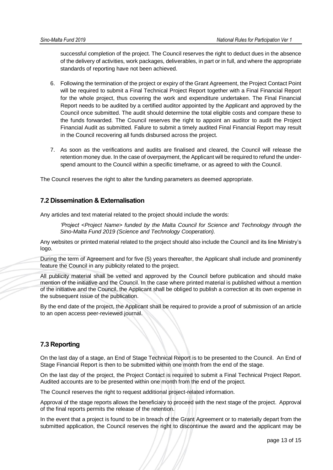successful completion of the project. The Council reserves the right to deduct dues in the absence of the delivery of activities, work packages, deliverables, in part or in full, and where the appropriate standards of reporting have not been achieved.

- 6. Following the termination of the project or expiry of the Grant Agreement, the Project Contact Point will be required to submit a Final Technical Project Report together with a Final Financial Report for the whole project, thus covering the work and expenditure undertaken. The Final Financial Report needs to be audited by a certified auditor appointed by the Applicant and approved by the Council once submitted. The audit should determine the total eligible costs and compare these to the funds forwarded. The Council reserves the right to appoint an auditor to audit the Project Financial Audit as submitted. Failure to submit a timely audited Final Financial Report may result in the Council recovering all funds disbursed across the project.
- 7. As soon as the verifications and audits are finalised and cleared, the Council will release the retention money due. In the case of overpayment, the Applicant will be required to refund the underspend amount to the Council within a specific timeframe, or as agreed to with the Council.

The Council reserves the right to alter the funding parameters as deemed appropriate.

## <span id="page-14-0"></span>**7.2 Dissemination & Externalisation**

Any articles and text material related to the project should include the words:

*'Project <Project Name> funded by the Malta Council for Science and Technology through the Sino-Malta Fund 2019 (Science and Technology Cooperation).* 

Any websites or printed material related to the project should also include the Council and its line Ministry's logo.

During the term of Agreement and for five (5) years thereafter, the Applicant shall include and prominently feature the Council in any publicity related to the project.

All publicity material shall be vetted and approved by the Council before publication and should make mention of the initiative and the Council. In the case where printed material is published without a mention of the initiative and the Council, the Applicant shall be obliged to publish a correction at its own expense in the subsequent issue of the publication.

By the end date of the project, the Applicant shall be required to provide a proof of submission of an article to an open access peer-reviewed journal.

# <span id="page-14-1"></span>**7.3 Reporting**

On the last day of a stage, an End of Stage Technical Report is to be presented to the Council. An End of Stage Financial Report is then to be submitted within one month from the end of the stage.

On the last day of the project, the Project Contact is required to submit a Final Technical Project Report. Audited accounts are to be presented within one month from the end of the project.

The Council reserves the right to request additional project-related information.

Approval of the stage reports allows the beneficiary to proceed with the next stage of the project. Approval of the final reports permits the release of the retention.

In the event that a project is found to be in breach of the Grant Agreement or to materially depart from the submitted application, the Council reserves the right to discontinue the award and the applicant may be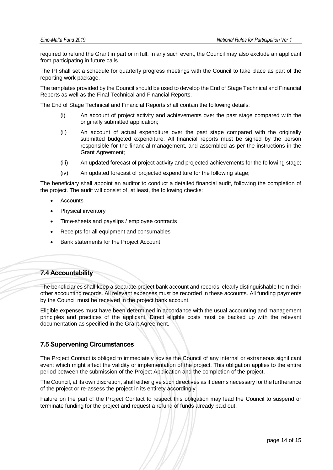required to refund the Grant in part or in full. In any such event, the Council may also exclude an applicant from participating in future calls.

The PI shall set a schedule for quarterly progress meetings with the Council to take place as part of the reporting work package.

The templates provided by the Council should be used to develop the End of Stage Technical and Financial Reports as well as the Final Technical and Financial Reports.

The End of Stage Technical and Financial Reports shall contain the following details:

- (i) An account of project activity and achievements over the past stage compared with the originally submitted application;
- (ii) An account of actual expenditure over the past stage compared with the originally submitted budgeted expenditure. All financial reports must be signed by the person responsible for the financial management, and assembled as per the instructions in the Grant Agreement;
- (iii) An updated forecast of project activity and projected achievements for the following stage;
- (iv) An updated forecast of projected expenditure for the following stage;

The beneficiary shall appoint an auditor to conduct a detailed financial audit, following the completion of the project. The audit will consist of, at least, the following checks:

- **Accounts**
- Physical inventory
- Time-sheets and payslips / employee contracts
- Receipts for all equipment and consumables
- Bank statements for the Project Account

### <span id="page-15-0"></span>**7.4 Accountability**

The beneficiaries shall keep a separate project bank account and records, clearly distinguishable from their other accounting records. All relevant expenses must be recorded in these accounts. All funding payments by the Council must be received in the project bank account.

Eligible expenses must have been determined in accordance with the usual accounting and management principles and practices of the applicant. Direct eligible costs must be backed up with the relevant documentation as specified in the Grant Agreement.

### <span id="page-15-1"></span>**7.5 Supervening Circumstances**

The Project Contact is obliged to immediately advise the Council of any internal or extraneous significant event which might affect the validity or implementation of the project. This obligation applies to the entire period between the submission of the Project Application and the completion of the project.

The Council, at its own discretion, shall either give such directives as it deems necessary for the furtherance of the project or re-assess the project in its entirety accordingly.

Failure on the part of the Project Contact to respect this obligation may lead the Council to suspend or terminate funding for the project and request a refund of funds already paid out.